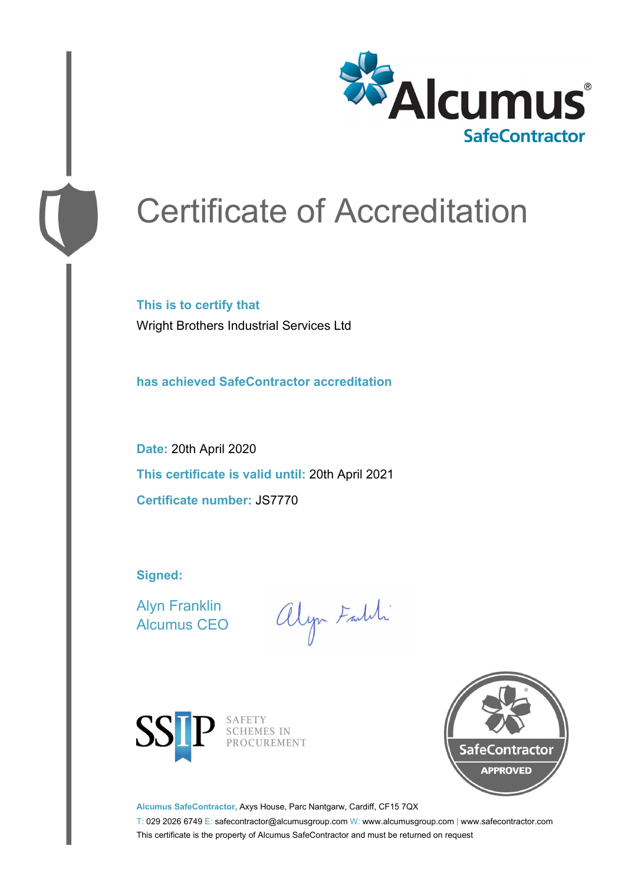

# Certificate of Accreditation

**This is to certify that** Wright Brothers Industrial Services Ltd

**has achieved SafeContractor accreditation**

**Date:** 20th April 2020 **This certificate is valid until:** 20th April 2021 **Certificate number:** JS7770

**Signed:**

Alyn Franklin Alcumus CEO

alyn Faldi



SAFETY<br>SCHEMES IN PROCUREMENT



**Alcumus SafeContractor,** Axys House, Parc Nantgarw, Cardiff, CF15 7QX

T: 029 2026 6749 E: safecontractor@alcumusgroup.com W: www.alcumusgroup.com | www.safecontractor.com This certificate is the property of Alcumus SafeContractor and must be returned on request